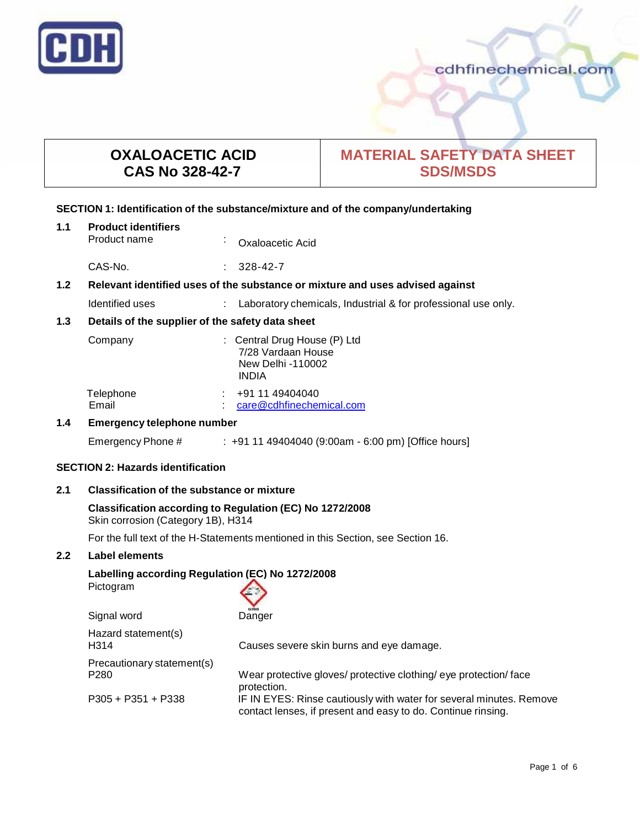

# **OXALOACETIC ACID CAS No 328-42-7**

# **MATERIAL SAFETY DATA SHEET SDS/MSDS**

### **SECTION 1: Identification of the substance/mixture and of the company/undertaking**

| 1.1              | <b>Product identifiers</b><br>Product name                                    | $\blacksquare$ | Oxaloacetic Acid                                                                        |
|------------------|-------------------------------------------------------------------------------|----------------|-----------------------------------------------------------------------------------------|
|                  | CAS-No.                                                                       |                | $328 - 42 - 7$                                                                          |
| 1.2 <sub>2</sub> | Relevant identified uses of the substance or mixture and uses advised against |                |                                                                                         |
|                  | Identified uses                                                               |                | Laboratory chemicals, Industrial & for professional use only.                           |
| 1.3              | Details of the supplier of the safety data sheet                              |                |                                                                                         |
|                  | Company                                                                       |                | : Central Drug House (P) Ltd<br>7/28 Vardaan House<br>New Delhi -110002<br><b>INDIA</b> |
|                  | Telephone<br>Email                                                            |                | +91 11 49404040<br>care@cdhfinechemical.com                                             |
| 1.4              | <b>Emergency telephone number</b>                                             |                |                                                                                         |
|                  | Emergency Phone #                                                             |                | $\pm$ +91 11 49404040 (9:00am - 6:00 pm) [Office hours]                                 |

## **SECTION 2: Hazards identification**

## **2.1 Classification of the substance ormixture**

```
Classification according to Regulation (EC) No 1272/2008
Skin corrosion (Category 1B), H314
```
For the full text of the H-Statements mentioned in this Section, see Section 16.

## **2.2 Label elements**

# **Labelling according Regulation (EC) No 1272/2008**

Pictogram

Signal word

| GHSOS  |
|--------|
| Danger |

| Hazard statement(s)<br>H314                    | Causes severe skin burns and eye damage.                                                                                                           |
|------------------------------------------------|----------------------------------------------------------------------------------------------------------------------------------------------------|
| Precautionary statement(s)<br>P <sub>280</sub> | Wear protective gloves/ protective clothing/ eye protection/ face                                                                                  |
| $P305 + P351 + P338$                           | protection.<br>IF IN EYES: Rinse cautiously with water for several minutes. Remove<br>contact lenses, if present and easy to do. Continue rinsing. |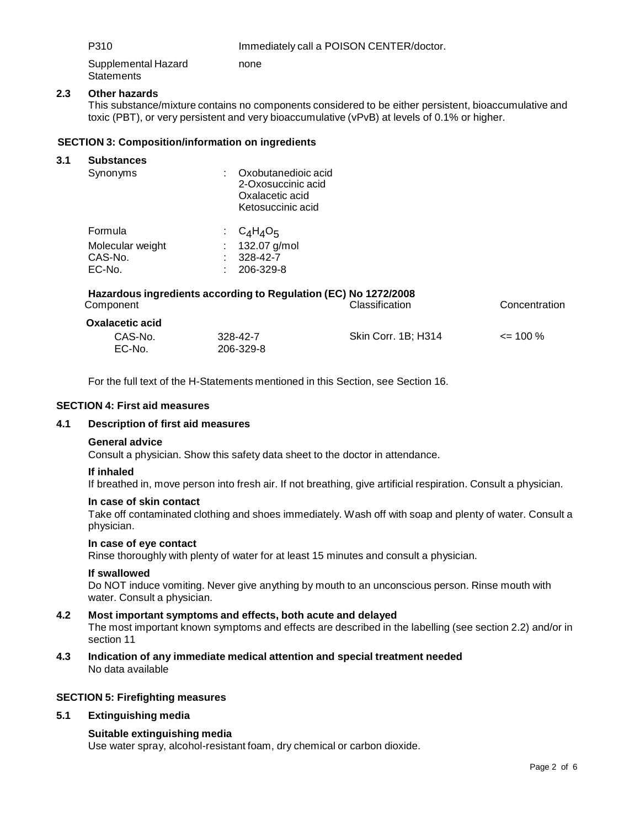P310 Immediately call a POISON CENTER/doctor.

Supplemental Hazard **Statements** none

# **2.3 Other hazards**

This substance/mixture contains no components considered to be either persistent, bioaccumulative and toxic (PBT), or very persistent and very bioaccumulative (vPvB) at levels of 0.1% or higher.

## **SECTION 3: Composition/information on ingredients**

#### **3.1 Substances**

| Synonyms                                         | Oxobutanedioic acid<br>2-Oxosuccinic acid<br>Oxalacetic acid<br>Ketosuccinic acid |
|--------------------------------------------------|-----------------------------------------------------------------------------------|
| Formula<br>Molecular weight<br>CAS-No.<br>EC-No. | $C_4H_4O_5$<br>132.07 g/mol<br>328-42-7<br>206-329-8                              |
|                                                  |                                                                                   |

| Component                                   | Hazardous ingredients according to Regulation (EC) No 1272/2008 | Classification      | Concentration |
|---------------------------------------------|-----------------------------------------------------------------|---------------------|---------------|
| <b>Oxalacetic acid</b><br>CAS-No.<br>EC-No. | 328-42-7<br>206-329-8                                           | Skin Corr. 1B; H314 | $\leq$ 100 %  |

For the full text of the H-Statements mentioned in this Section, see Section 16.

#### **SECTION 4: First aid measures**

#### **4.1 Description of first aid measures**

#### **General advice**

Consult a physician. Show this safety data sheet to the doctor in attendance.

#### **If inhaled**

If breathed in, move person into fresh air. If not breathing, give artificial respiration. Consult a physician.

#### **In case of skin contact**

Take off contaminated clothing and shoes immediately. Wash off with soap and plenty of water. Consult a physician.

#### **In case of eye contact**

Rinse thoroughly with plenty of water for at least 15 minutes and consult a physician.

## **If swallowed**

Do NOT induce vomiting. Never give anything by mouth to an unconscious person. Rinse mouth with water. Consult a physician.

#### **4.2 Most important symptoms and effects, both acute and delayed**

The most important known symptoms and effects are described in the labelling (see section 2.2) and/or in section 11

**4.3 Indication of any immediate medical attention and special treatment needed** No data available

#### **SECTION 5: Firefighting measures**

#### **5.1 Extinguishing media**

#### **Suitable extinguishing media**

Use water spray, alcohol-resistant foam, dry chemical or carbon dioxide.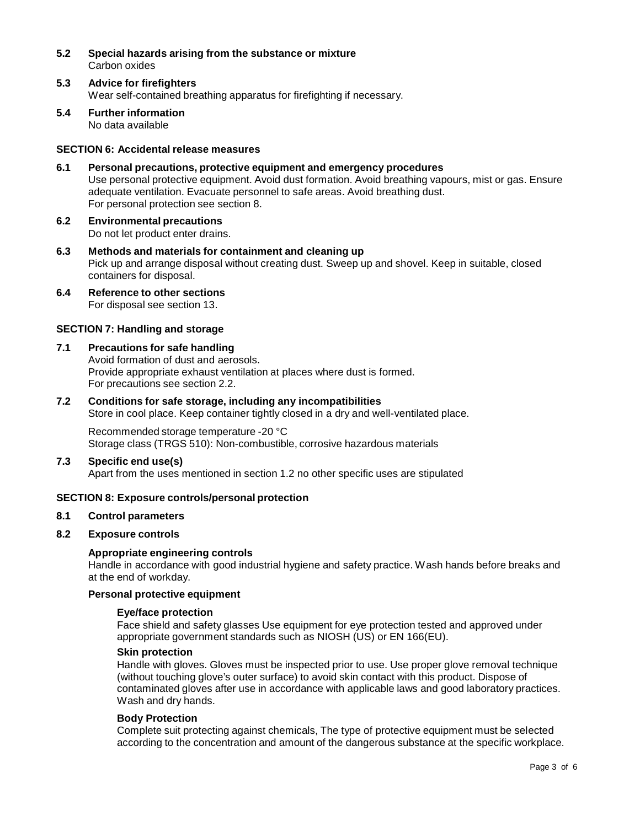- **5.2 Special hazards arising from the substance ormixture** Carbon oxides
- **5.3 Advice for firefighters** Wear self-contained breathing apparatus for firefighting if necessary.
- **5.4 Further information** No data available

## **SECTION 6: Accidental release measures**

- **6.1 Personal precautions, protective equipment and emergency procedures** Use personal protective equipment. Avoid dust formation. Avoid breathing vapours, mist or gas. Ensure adequate ventilation. Evacuate personnel to safe areas. Avoid breathing dust. For personal protection see section 8.
- **6.2 Environmental precautions** Do not let product enter drains.
- **6.3 Methods and materials for containment and cleaning up** Pick up and arrange disposal without creating dust. Sweep up and shovel. Keep in suitable, closed containers for disposal.
- **6.4 Reference to other sections** For disposal see section 13.

#### **SECTION 7: Handling and storage**

#### **7.1 Precautions for safe handling**

Avoid formation of dust and aerosols. Provide appropriate exhaust ventilation at places where dust is formed. For precautions see section 2.2.

**7.2 Conditions for safe storage, including any incompatibilities** Store in cool place. Keep container tightly closed in a dry and well-ventilated place.

Recommended storage temperature -20 °C

Storage class (TRGS 510): Non-combustible, corrosive hazardous materials

## **7.3 Specific end use(s)**

Apart from the uses mentioned in section 1.2 no other specific uses are stipulated

## **SECTION 8: Exposure controls/personal protection**

## **8.1 Control parameters**

## **8.2 Exposure controls**

#### **Appropriate engineering controls**

Handle in accordance with good industrial hygiene and safety practice. Wash hands before breaks and at the end of workday.

#### **Personal protective equipment**

#### **Eye/face protection**

Face shield and safety glasses Use equipment for eye protection tested and approved under appropriate government standards such as NIOSH (US) or EN 166(EU).

#### **Skin protection**

Handle with gloves. Gloves must be inspected prior to use. Use proper glove removal technique (without touching glove's outer surface) to avoid skin contact with this product. Dispose of contaminated gloves after use in accordance with applicable laws and good laboratory practices. Wash and dry hands.

#### **Body Protection**

Complete suit protecting against chemicals, The type of protective equipment must be selected according to the concentration and amount of the dangerous substance at the specific workplace.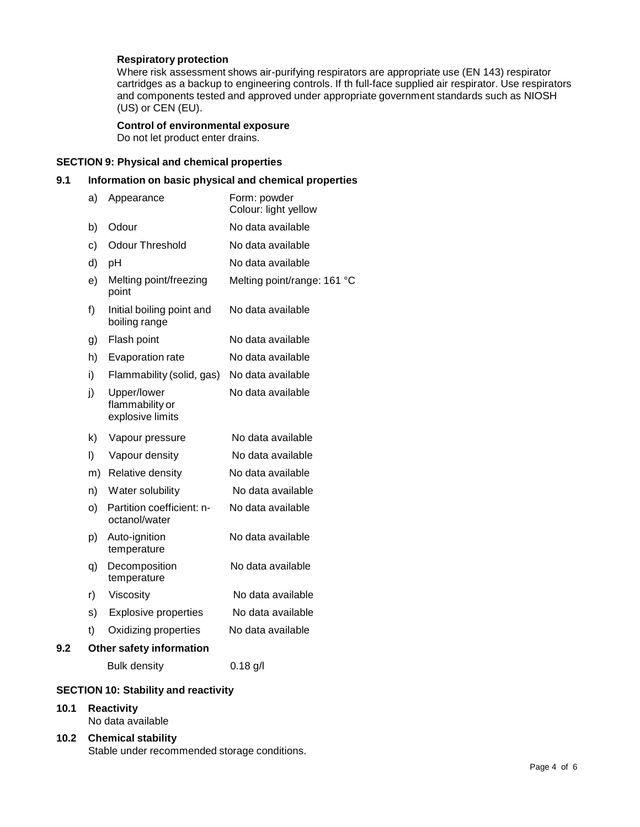## **Respiratory protection**

Where risk assessment shows air-purifying respirators are appropriate use (EN 143) respirator cartridges as a backup to engineering controls. If th full-face supplied air respirator. Use respirators and components tested and approved under appropriate government standards such as NIOSH (US) or CEN (EU).

## **Control of environmental exposure**

Do not let product enter drains.

## **SECTION 9: Physical and chemical properties**

# **9.1 Information on basic physical and chemical properties**

|     | a) | Appearance                                         | Form: powder<br>Colour: light yellow |
|-----|----|----------------------------------------------------|--------------------------------------|
|     | b) | Odour                                              | No data available                    |
|     | c) | <b>Odour Threshold</b>                             | No data available                    |
|     | d) | pH                                                 | No data available                    |
|     | e) | Melting point/freezing<br>point                    | Melting point/range: 161 °C          |
|     | f) | Initial boiling point and<br>boiling range         | No data available                    |
|     | g) | Flash point                                        | No data available                    |
|     | h) | Evaporation rate                                   | No data available                    |
|     | i) | Flammability (solid, gas)                          | No data available                    |
|     | j) | Upper/lower<br>flammability or<br>explosive limits | No data available                    |
|     | k) | Vapour pressure                                    | No data available                    |
|     | I) | Vapour density                                     | No data available                    |
|     | m) | Relative density                                   | No data available                    |
|     | n) | Water solubility                                   | No data available                    |
|     | o) | Partition coefficient: n-<br>octanol/water         | No data available                    |
|     | p) | Auto-ignition<br>temperature                       | No data available                    |
|     | q) | Decomposition<br>temperature                       | No data available                    |
|     | r) | Viscosity                                          | No data available                    |
|     | s) | <b>Explosive properties</b>                        | No data available                    |
|     | t) | Oxidizing properties                               | No data available                    |
| 9.2 |    | Other safety information                           |                                      |
|     |    | <b>Bulk density</b>                                | $0.18$ g/l                           |
|     |    |                                                    |                                      |

### **SECTION 10: Stability and reactivity**

## **10.1 Reactivity**

- No data available
- **10.2 Chemical stability** Stable under recommended storage conditions.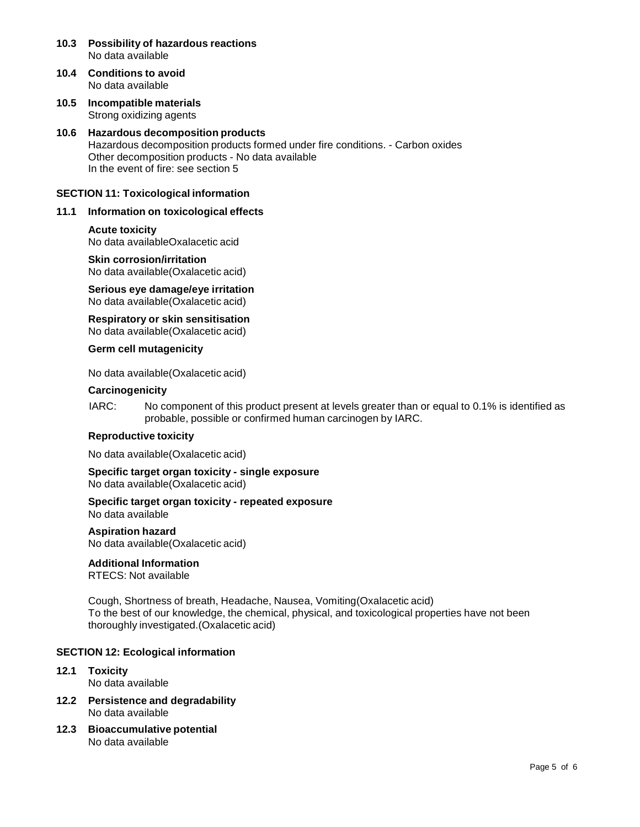- **10.3 Possibility of hazardous reactions** No data available
- **10.4 Conditions to avoid** No data available
- **10.5 Incompatible materials** Strong oxidizing agents

## **10.6 Hazardous decomposition products** Hazardous decomposition products formed under fire conditions. - Carbon oxides Other decomposition products - No data available In the event of fire: see section 5

## **SECTION 11: Toxicological information**

## **11.1 Information on toxicological effects**

#### **Acute toxicity**

No data availableOxalacetic acid

#### **Skin corrosion/irritation**

No data available(Oxalacetic acid)

**Serious eye damage/eye irritation** No data available(Oxalacetic acid)

**Respiratory orskin sensitisation** No data available(Oxalacetic acid)

**Germ cell mutagenicity**

No data available(Oxalacetic acid)

#### **Carcinogenicity**

IARC: No component of this product present at levels greater than or equal to 0.1% is identified as probable, possible or confirmed human carcinogen by IARC.

#### **Reproductive toxicity**

No data available(Oxalacetic acid)

**Specific target organ toxicity - single exposure** No data available(Oxalacetic acid)

**Specific target organ toxicity - repeated exposure** No data available

#### **Aspiration hazard**

No data available(Oxalacetic acid)

# **Additional Information**

RTECS: Not available

Cough, Shortness of breath, Headache, Nausea, Vomiting(Oxalacetic acid) To the best of our knowledge, the chemical, physical, and toxicological properties have not been thoroughly investigated.(Oxalacetic acid)

### **SECTION 12: Ecological information**

- **12.1 Toxicity** No data available
- **12.2 Persistence and degradability** No data available
- **12.3 Bioaccumulative potential** No data available